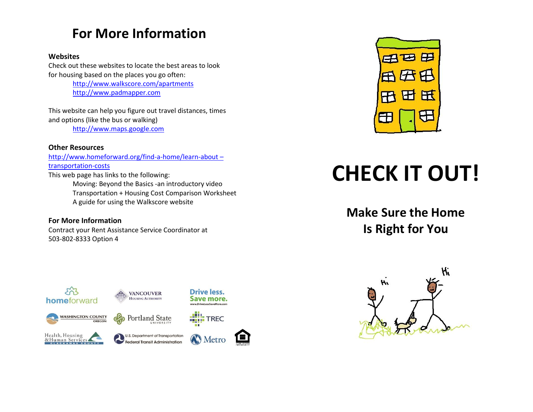# **For More Information**

#### **Websites**

Check out these websites to locate the best areas to look for housing based on the places you go often: <http://www.walkscore.com/apartments>

[http://www.padmapper.com](http://www.padmapper.com/)

This website can help you figure out travel distances, times and options (like the bus or walking) [http://www.maps.google.com](http://www.maps.google.com/)

**Other Resources** [http://www.homeforward.org/find-a-home/learn-about](http://www.homeforward.org/find-a-home/learn-about%20–transportation-costs) – [transportation-costs](http://www.homeforward.org/find-a-home/learn-about%20–transportation-costs) This web page has links to the following: Moving: Beyond the Basics -an introductory video Transportation + Housing Cost Comparison Worksheet

A guide for using the Walkscore website

**For More Information** Contract your Rent Assistance Service Coordinator at 503-802-8333 Option 4



# **CHECK IT OUT!**

**Make Sure the Home Is Right for You**